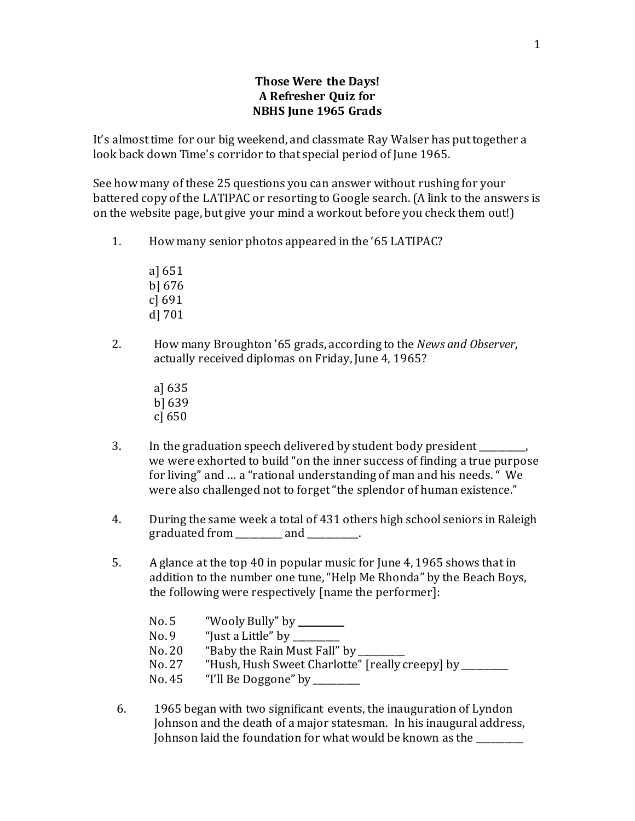## **Those Were the Days! A Refresher Quiz for NBHS June 1965 Grads**

It's almost time for our big weekend, and classmate Ray Walser has put together a look back down Time's corridor to that special period of June 1965.

See how many of these 25 questions you can answer without rushing for your battered copy of the LATIPAC or resorting to Google search. (A link to the answers is on the website page, but give your mind a workout before you check them out!)

- 1. How many senior photos appeared in the '65 LATIPAC?
	- a] 651 b] 676 c] 691 d] 701
- 2. How many Broughton '65 grads, according to the *News and Observer*, actually received diplomas on Friday, June 4, 1965?
	- a] 635 b] 639 c] 650
- 3. In the graduation speech delivered by student body president  $\blacksquare$ we were exhorted to build "on the inner success of finding a true purpose for living" and … a "rational understanding of man and his needs. " We were also challenged not to forget "the splendor of human existence."
- 4. During the same week a total of 431 others high school seniors in Raleigh graduated from \_\_\_\_\_\_\_\_\_\_ and \_\_\_\_\_\_\_\_\_\_\_.
- 5. A glance at the top 40 in popular music for June 4, 1965 shows that in addition to the number one tune, "Help Me Rhonda" by the Beach Boys, the following were respectively [name the performer]:

| No. 5  | "Wooly Bully" by ________                          |
|--------|----------------------------------------------------|
| No.9   | "Just a Little" by $\frac{1}{\sqrt{2\pi}}$         |
| No. 20 | "Baby the Rain Must Fall" by _                     |
| No. 27 | "Hush, Hush Sweet Charlotte" [really creepy] by __ |
| No. 45 | "I'll Be Doggone" by ________                      |
|        |                                                    |

6. 1965 began with two significant events, the inauguration of Lyndon Johnson and the death of a major statesman. In his inaugural address, Johnson laid the foundation for what would be known as the \_\_\_\_\_\_\_\_\_\_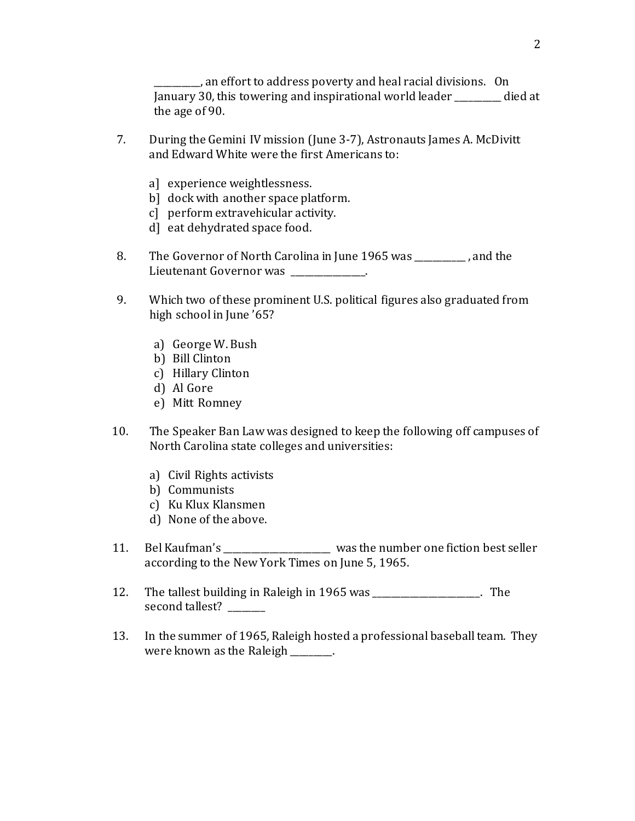\_\_\_\_\_\_\_\_\_\_, an effort to address poverty and heal racial divisions. On January 30, this towering and inspirational world leader \_\_\_\_\_\_\_\_\_\_ died at the age of 90.

- 7. During the Gemini IV mission (June 3-7), Astronauts James A. McDivitt and Edward White were the first Americans to:
	- a] experience weightlessness.
	- b] dock with another space platform.
	- c] perform extravehicular activity.
	- d] eat dehydrated space food.
- 8. The Governor of North Carolina in June 1965 was \_\_\_\_\_\_\_\_\_\_\_ , and the Lieutenant Governor was Theorem Corea
- 9. Which two of these prominent U.S. political figures also graduated from high school in June '65?
	- a) George W. Bush
	- b) Bill Clinton
	- c) Hillary Clinton
	- d) Al Gore
	- e) Mitt Romney
- 10. The Speaker Ban Law was designed to keep the following off campuses of North Carolina state colleges and universities:
	- a) Civil Rights activists
	- b) Communists
	- c) Ku Klux Klansmen
	- d) None of the above.
- 11. Bel Kaufman's entity was the number one fiction best seller according to the New York Times on June 5, 1965.
- 12. The tallest building in Raleigh in 1965 was \_\_\_\_\_\_\_\_\_\_\_\_\_\_\_\_\_\_\_\_\_\_\_. The second tallest?
- 13. In the summer of 1965, Raleigh hosted a professional baseball team. They were known as the Raleigh  $\qquad \qquad$ .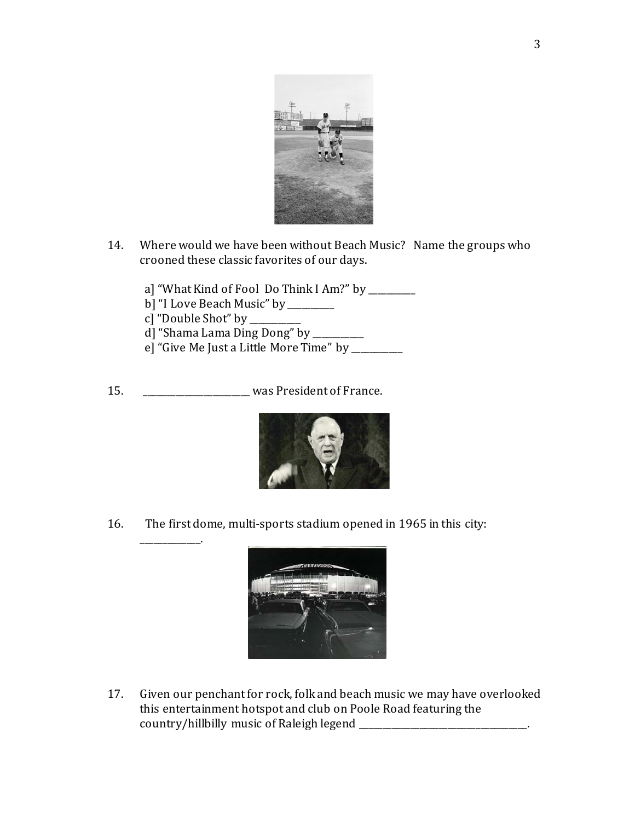

- 14. Where would we have been without Beach Music? Name the groups who crooned these classic favorites of our days.
	- a] "What Kind of Fool Do Think I Am?" by \_\_\_\_\_\_\_\_
	- b] "I Love Beach Music" by \_\_\_\_\_\_\_\_\_\_<br>c] "Double Shot" by \_\_\_\_\_\_\_\_\_\_
	- c] "Double Shot" by \_\_\_\_\_\_\_\_\_\_

\_\_\_\_\_\_\_\_\_\_\_\_\_.

- d] "Shama Lama Ding Dong" by \_\_\_\_\_\_\_\_\_\_\_
- e] "Give Me Just a Little More Time" by \_\_\_\_\_\_\_\_\_\_\_
- 15. \_\_\_\_\_\_\_\_\_\_\_\_\_\_\_\_\_\_\_\_\_\_\_ was President of France.



16. The first dome, multi-sports stadium opened in 1965 in this city:



17. Given our penchant for rock, folk and beach music we may have overlooked this entertainment hotspot and club on Poole Road featuring the country/hillbilly music of Raleigh legend \_\_\_\_\_\_\_\_\_\_\_\_\_\_\_\_\_\_\_\_\_\_\_\_\_\_\_\_\_\_\_\_\_\_\_\_.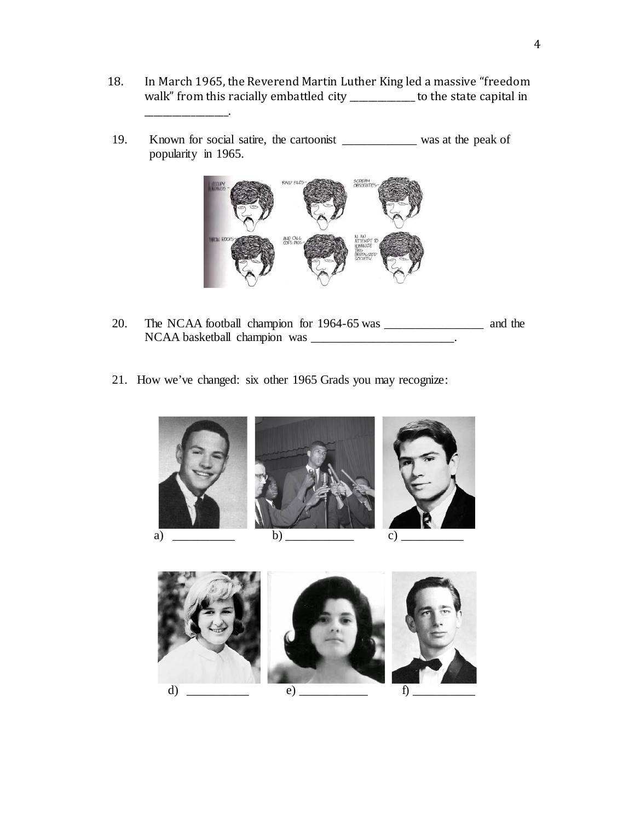- 18. In March 1965, the Reverend Martin Luther King led a massive "freedom walk" from this racially embattled city \_\_\_\_\_\_\_\_\_\_\_\_ to the state capital in
- 19. Known for social satire, the cartoonist \_\_\_\_\_\_\_\_\_\_\_\_ was at the peak of popularity in 1965.

\_\_\_\_\_\_\_\_\_\_\_\_\_\_\_\_\_\_.



- 20. The NCAA football champion for 1964-65 was \_\_\_\_\_\_\_\_\_\_\_\_\_\_\_\_ and the NCAA basketball champion was \_\_\_\_\_\_\_\_\_\_\_\_\_\_\_\_\_\_\_\_\_\_\_\_\_.
- 21. How we've changed: six other 1965 Grads you may recognize: